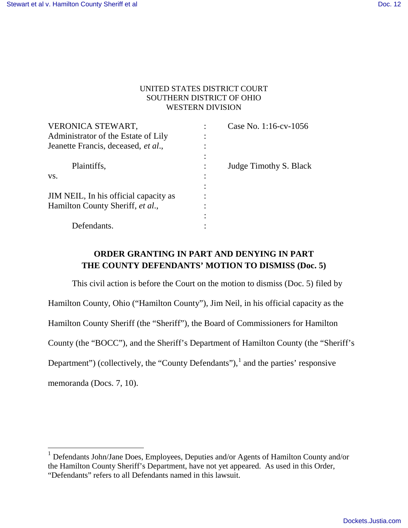$\overline{a}$ 

# UNITED STATES DISTRICT COURT SOUTHERN DISTRICT OF OHIO WESTERN DIVISION

| VERONICA STEWART,                     | Case No. 1:16-cv-1056  |
|---------------------------------------|------------------------|
| Administrator of the Estate of Lily   |                        |
| Jeanette Francis, deceased, et al.,   |                        |
|                                       |                        |
| Plaintiffs,                           | Judge Timothy S. Black |
| VS.                                   |                        |
|                                       |                        |
| JIM NEIL, In his official capacity as |                        |
| Hamilton County Sheriff, et al.,      |                        |
|                                       |                        |
| Defendants.                           |                        |
|                                       |                        |

# **ORDER GRANTING IN PART AND DENYING IN PART THE COUNTY DEFENDANTS' MOTION TO DISMISS (Doc. 5)**

This civil action is before the Court on the motion to dismiss (Doc. 5) filed by Hamilton County, Ohio ("Hamilton County"), Jim Neil, in his official capacity as the Hamilton County Sheriff (the "Sheriff"), the Board of Commissioners for Hamilton County (the "BOCC"), and the Sheriff's Department of Hamilton County (the "Sheriff's Department") (collectively, the "County Defendants"),  $\frac{1}{2}$  and the parties' responsive memoranda (Docs. 7, 10).

<sup>&</sup>lt;sup>1</sup> Defendants John/Jane Does, Employees, Deputies and/or Agents of Hamilton County and/or the Hamilton County Sheriff's Department, have not yet appeared. As used in this Order, "Defendants" refers to all Defendants named in this lawsuit.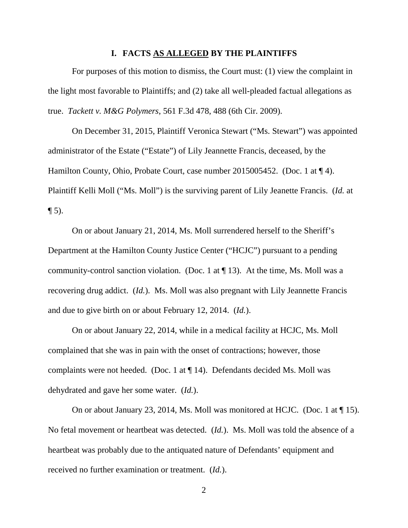#### **I. FACTS AS ALLEGED BY THE PLAINTIFFS**

For purposes of this motion to dismiss, the Court must: (1) view the complaint in the light most favorable to Plaintiffs; and (2) take all well-pleaded factual allegations as true. *Tackett v. M&G Polymers*, 561 F.3d 478, 488 (6th Cir. 2009).

On December 31, 2015, Plaintiff Veronica Stewart ("Ms. Stewart") was appointed administrator of the Estate ("Estate") of Lily Jeannette Francis, deceased, by the Hamilton County, Ohio, Probate Court, case number 2015005452. (Doc. 1 at  $\P$  4). Plaintiff Kelli Moll ("Ms. Moll") is the surviving parent of Lily Jeanette Francis. (*Id.* at  $\P$  5).

On or about January 21, 2014, Ms. Moll surrendered herself to the Sheriff's Department at the Hamilton County Justice Center ("HCJC") pursuant to a pending community-control sanction violation. (Doc. 1 at ¶ 13). At the time, Ms. Moll was a recovering drug addict. (*Id.*). Ms. Moll was also pregnant with Lily Jeannette Francis and due to give birth on or about February 12, 2014. (*Id.*).

On or about January 22, 2014, while in a medical facility at HCJC, Ms. Moll complained that she was in pain with the onset of contractions; however, those complaints were not heeded. (Doc. 1 at ¶ 14). Defendants decided Ms. Moll was dehydrated and gave her some water. (*Id.*).

On or about January 23, 2014, Ms. Moll was monitored at HCJC. (Doc. 1 at ¶ 15). No fetal movement or heartbeat was detected. (*Id.*). Ms. Moll was told the absence of a heartbeat was probably due to the antiquated nature of Defendants' equipment and received no further examination or treatment. (*Id.*).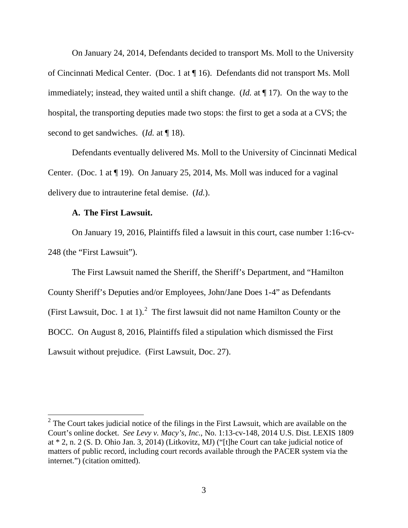On January 24, 2014, Defendants decided to transport Ms. Moll to the University of Cincinnati Medical Center. (Doc. 1 at ¶ 16). Defendants did not transport Ms. Moll immediately; instead, they waited until a shift change. (*Id.* at ¶ 17). On the way to the hospital, the transporting deputies made two stops: the first to get a soda at a CVS; the second to get sandwiches. (*Id.* at ¶ 18).

Defendants eventually delivered Ms. Moll to the University of Cincinnati Medical Center. (Doc. 1 at ¶ 19). On January 25, 2014, Ms. Moll was induced for a vaginal delivery due to intrauterine fetal demise. (*Id.*).

## **A. The First Lawsuit.**

 $\overline{a}$ 

On January 19, 2016, Plaintiffs filed a lawsuit in this court, case number 1:16-cv-248 (the "First Lawsuit").

The First Lawsuit named the Sheriff, the Sheriff's Department, and "Hamilton County Sheriff's Deputies and/or Employees, John/Jane Does 1-4" as Defendants (First Lawsuit, Doc. 1 at 1).<sup>2</sup> The first lawsuit did not name Hamilton County or the BOCC. On August 8, 2016, Plaintiffs filed a stipulation which dismissed the First Lawsuit without prejudice. (First Lawsuit, Doc. 27).

 $2^2$  The Court takes judicial notice of the filings in the First Lawsuit, which are available on the Court's online docket. *See Levy v. Macy's, Inc.*, No. 1:13-cv-148, 2014 U.S. Dist. LEXIS 1809 at \* 2, n. 2 (S. D. Ohio Jan. 3, 2014) (Litkovitz, MJ) ("[t]he Court can take judicial notice of matters of public record, including court records available through the PACER system via the internet.") (citation omitted).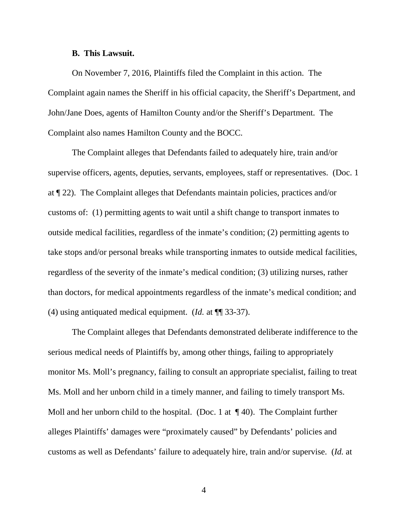#### **B. This Lawsuit.**

On November 7, 2016, Plaintiffs filed the Complaint in this action. The Complaint again names the Sheriff in his official capacity, the Sheriff's Department, and John/Jane Does, agents of Hamilton County and/or the Sheriff's Department. The Complaint also names Hamilton County and the BOCC.

The Complaint alleges that Defendants failed to adequately hire, train and/or supervise officers, agents, deputies, servants, employees, staff or representatives. (Doc. 1 at ¶ 22). The Complaint alleges that Defendants maintain policies, practices and/or customs of: (1) permitting agents to wait until a shift change to transport inmates to outside medical facilities, regardless of the inmate's condition; (2) permitting agents to take stops and/or personal breaks while transporting inmates to outside medical facilities, regardless of the severity of the inmate's medical condition; (3) utilizing nurses, rather than doctors, for medical appointments regardless of the inmate's medical condition; and (4) using antiquated medical equipment. (*Id.* at ¶¶ 33-37).

The Complaint alleges that Defendants demonstrated deliberate indifference to the serious medical needs of Plaintiffs by, among other things, failing to appropriately monitor Ms. Moll's pregnancy, failing to consult an appropriate specialist, failing to treat Ms. Moll and her unborn child in a timely manner, and failing to timely transport Ms. Moll and her unborn child to the hospital. (Doc. 1 at  $\P$  40). The Complaint further alleges Plaintiffs' damages were "proximately caused" by Defendants' policies and customs as well as Defendants' failure to adequately hire, train and/or supervise. (*Id.* at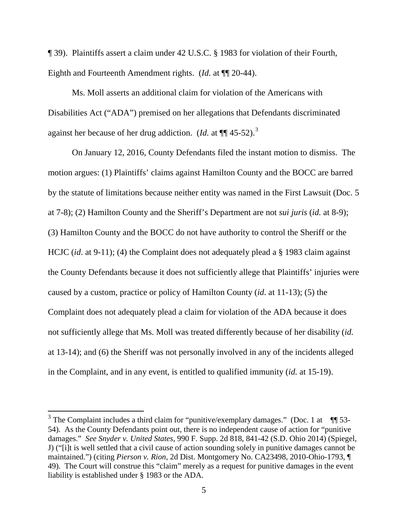¶ 39). Plaintiffs assert a claim under 42 U.S.C. § 1983 for violation of their Fourth, Eighth and Fourteenth Amendment rights. (*Id.* at ¶¶ 20-44).

Ms. Moll asserts an additional claim for violation of the Americans with Disabilities Act ("ADA") premised on her allegations that Defendants discriminated against her because of her drug addiction. (*Id.* at ¶¶ 45-52).<sup>3</sup>

On January 12, 2016, County Defendants filed the instant motion to dismiss. The motion argues: (1) Plaintiffs' claims against Hamilton County and the BOCC are barred by the statute of limitations because neither entity was named in the First Lawsuit (Doc. 5 at 7-8); (2) Hamilton County and the Sheriff's Department are not *sui juris* (*id.* at 8-9); (3) Hamilton County and the BOCC do not have authority to control the Sheriff or the HCJC (*id*. at 9-11); (4) the Complaint does not adequately plead a § 1983 claim against the County Defendants because it does not sufficiently allege that Plaintiffs' injuries were caused by a custom, practice or policy of Hamilton County (*id*. at 11-13); (5) the Complaint does not adequately plead a claim for violation of the ADA because it does not sufficiently allege that Ms. Moll was treated differently because of her disability (*id.* at 13-14); and (6) the Sheriff was not personally involved in any of the incidents alleged in the Complaint, and in any event, is entitled to qualified immunity (*id.* at 15-19).

 $\overline{a}$ 

<sup>&</sup>lt;sup>3</sup> The Complaint includes a third claim for "punitive/exemplary damages." (Doc. 1 at  $\P$   $\overline{\phantom{a}}$  53-54). As the County Defendants point out, there is no independent cause of action for "punitive damages." *See Snyder v. United States*, 990 F. Supp. 2d 818, 841-42 (S.D. Ohio 2014) (Spiegel, J) ("[i]t is well settled that a civil cause of action sounding solely in punitive damages cannot be maintained.") (citing *Pierson v. Rion*, 2d Dist. Montgomery No. CA23498, 2010-Ohio-1793, ¶ 49). The Court will construe this "claim" merely as a request for punitive damages in the event liability is established under § 1983 or the ADA.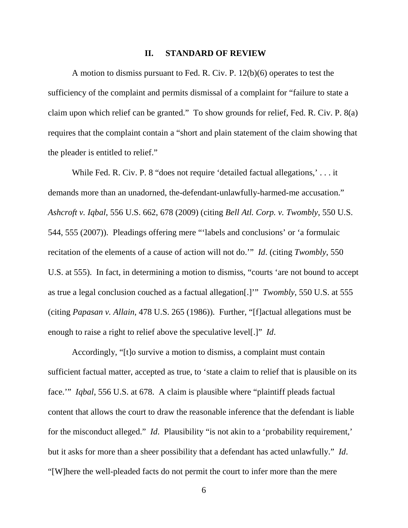#### **II. STANDARD OF REVIEW**

A motion to dismiss pursuant to Fed. R. Civ. P. 12(b)(6) operates to test the sufficiency of the complaint and permits dismissal of a complaint for "failure to state a claim upon which relief can be granted." To show grounds for relief, Fed. R. Civ. P. 8(a) requires that the complaint contain a "short and plain statement of the claim showing that the pleader is entitled to relief."

While Fed. R. Civ. P. 8 "does not require 'detailed factual allegations,' . . . it demands more than an unadorned, the-defendant-unlawfully-harmed-me accusation." *Ashcroft v. Iqbal*, 556 U.S. 662, 678 (2009) (citing *Bell Atl. Corp. v. Twombly*, 550 U.S. 544, 555 (2007)). Pleadings offering mere "'labels and conclusions' or 'a formulaic recitation of the elements of a cause of action will not do.'" *Id*. (citing *Twombly*, 550 U.S. at 555). In fact, in determining a motion to dismiss, "courts 'are not bound to accept as true a legal conclusion couched as a factual allegation[.]'" *Twombly*, 550 U.S. at 555 (citing *Papasan v. Allain*, 478 U.S. 265 (1986)). Further, "[f]actual allegations must be enough to raise a right to relief above the speculative level[.]" *Id*.

Accordingly, "[t]o survive a motion to dismiss, a complaint must contain sufficient factual matter, accepted as true, to 'state a claim to relief that is plausible on its face.'" *Iqbal*, 556 U.S. at 678. A claim is plausible where "plaintiff pleads factual content that allows the court to draw the reasonable inference that the defendant is liable for the misconduct alleged." *Id*. Plausibility "is not akin to a 'probability requirement,' but it asks for more than a sheer possibility that a defendant has acted unlawfully." *Id*. "[W]here the well-pleaded facts do not permit the court to infer more than the mere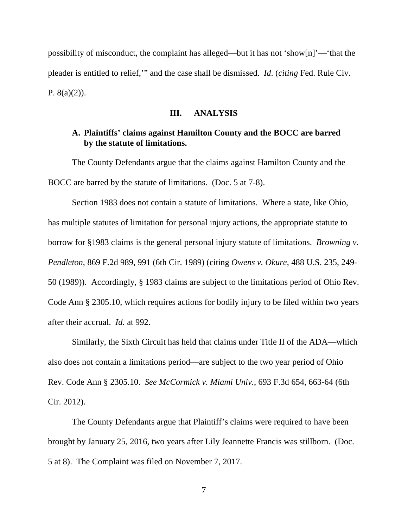possibility of misconduct, the complaint has alleged—but it has not 'show[n]'—'that the pleader is entitled to relief,'" and the case shall be dismissed. *Id*. (*citing* Fed. Rule Civ. P.  $8(a)(2)$ ).

#### **III. ANALYSIS**

# **A. Plaintiffs' claims against Hamilton County and the BOCC are barred by the statute of limitations.**

The County Defendants argue that the claims against Hamilton County and the BOCC are barred by the statute of limitations. (Doc. 5 at 7-8).

Section 1983 does not contain a statute of limitations. Where a state, like Ohio, has multiple statutes of limitation for personal injury actions, the appropriate statute to borrow for §1983 claims is the general personal injury statute of limitations. *Browning v. Pendleton*, 869 F.2d 989, 991 (6th Cir. 1989) (citing *Owens v. Okure*, 488 U.S. 235, 249- 50 (1989)). Accordingly, § 1983 claims are subject to the limitations period of Ohio Rev. Code Ann § 2305.10, which requires actions for bodily injury to be filed within two years after their accrual. *Id.* at 992.

Similarly, the Sixth Circuit has held that claims under Title II of the ADA—which also does not contain a limitations period—are subject to the two year period of Ohio Rev. Code Ann § 2305.10. *See McCormick v. Miami Univ.*, 693 F.3d 654, 663-64 (6th Cir. 2012).

The County Defendants argue that Plaintiff's claims were required to have been brought by January 25, 2016, two years after Lily Jeannette Francis was stillborn. (Doc. 5 at 8). The Complaint was filed on November 7, 2017.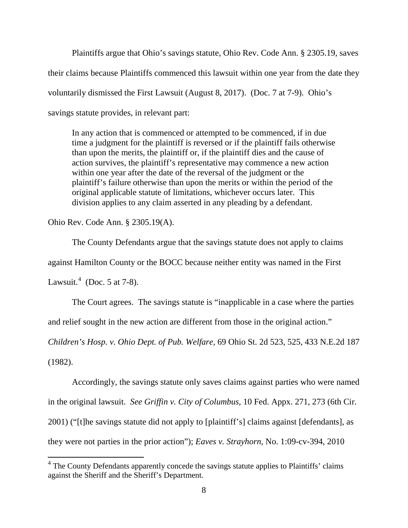Plaintiffs argue that Ohio's savings statute, Ohio Rev. Code Ann. § 2305.19, saves their claims because Plaintiffs commenced this lawsuit within one year from the date they voluntarily dismissed the First Lawsuit (August 8, 2017). (Doc. 7 at 7-9). Ohio's savings statute provides, in relevant part:

In any action that is commenced or attempted to be commenced, if in due time a judgment for the plaintiff is reversed or if the plaintiff fails otherwise than upon the merits, the plaintiff or, if the plaintiff dies and the cause of action survives, the plaintiff's representative may commence a new action within one year after the date of the reversal of the judgment or the plaintiff's failure otherwise than upon the merits or within the period of the original applicable statute of limitations, whichever occurs later. This division applies to any claim asserted in any pleading by a defendant.

Ohio Rev. Code Ann. § 2305.19(A).

 $\overline{a}$ 

The County Defendants argue that the savings statute does not apply to claims against Hamilton County or the BOCC because neither entity was named in the First Lawsuit.<sup>4</sup> (Doc. 5 at 7-8).

The Court agrees. The savings statute is "inapplicable in a case where the parties and relief sought in the new action are different from those in the original action."

*Children's Hosp. v. Ohio Dept. of Pub. Welfare,* 69 Ohio St. 2d 523, 525, 433 N.E.2d 187 (1982).

Accordingly, the savings statute only saves claims against parties who were named in the original lawsuit. *See Griffin v. City of Columbus,* 10 Fed. Appx. 271, 273 (6th Cir. 2001) ("[t]he savings statute did not apply to [plaintiff's] claims against [defendants], as they were not parties in the prior action"); *Eaves v. Strayhorn*, No. 1:09-cv-394, 2010

<sup>&</sup>lt;sup>4</sup> The County Defendants apparently concede the savings statute applies to Plaintiffs' claims against the Sheriff and the Sheriff's Department.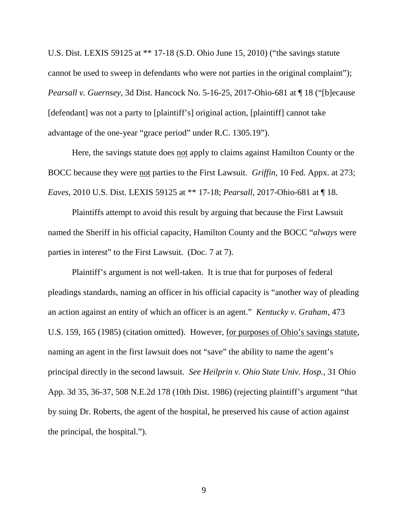U.S. Dist. LEXIS 59125 at \*\* 17-18 (S.D. Ohio June 15, 2010) ("the savings statute cannot be used to sweep in defendants who were not parties in the original complaint"); *Pearsall v. Guernsey,* 3d Dist. Hancock No. 5-16-25, 2017-Ohio-681 at ¶ 18 ("[b]ecause [defendant] was not a party to [plaintiff's] original action, [plaintiff] cannot take advantage of the one-year "grace period" under R.C. 1305.19").

Here, the savings statute does not apply to claims against Hamilton County or the BOCC because they were not parties to the First Lawsuit. *Griffin*, 10 Fed. Appx. at 273; *Eaves*, 2010 U.S. Dist. LEXIS 59125 at \*\* 17-18; *Pearsall*, 2017-Ohio-681 at ¶ 18.

Plaintiffs attempt to avoid this result by arguing that because the First Lawsuit named the Sheriff in his official capacity, Hamilton County and the BOCC "*always* were parties in interest" to the First Lawsuit. (Doc. 7 at 7).

Plaintiff's argument is not well-taken. It is true that for purposes of federal pleadings standards, naming an officer in his official capacity is "another way of pleading an action against an entity of which an officer is an agent." *Kentucky v. Graham*, 473 U.S. 159, 165 (1985) (citation omitted). However, for purposes of Ohio's savings statute, naming an agent in the first lawsuit does not "save" the ability to name the agent's principal directly in the second lawsuit. *See Heilprin v. Ohio State Univ. Hosp.*, 31 Ohio App. 3d 35, 36-37, 508 N.E.2d 178 (10th Dist. 1986) (rejecting plaintiff's argument "that by suing Dr. Roberts, the agent of the hospital, he preserved his cause of action against the principal, the hospital.").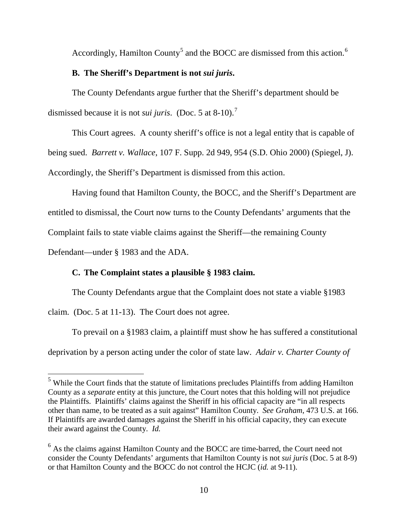Accordingly, Hamilton County<sup>5</sup> and the BOCC are dismissed from this action.<sup>6</sup>

## **B. The Sheriff's Department is not** *sui juris***.**

The County Defendants argue further that the Sheriff's department should be dismissed because it is not *sui juris*. (Doc. 5 at 8-10).<sup>7</sup>

This Court agrees. A county sheriff's office is not a legal entity that is capable of being sued. *Barrett v. Wallace*, 107 F. Supp. 2d 949, 954 (S.D. Ohio 2000) (Spiegel, J). Accordingly, the Sheriff's Department is dismissed from this action.

Having found that Hamilton County, the BOCC, and the Sheriff's Department are entitled to dismissal, the Court now turns to the County Defendants' arguments that the Complaint fails to state viable claims against the Sheriff—the remaining County

Defendant—under § 1983 and the ADA.

 $\overline{a}$ 

# **C. The Complaint states a plausible § 1983 claim.**

The County Defendants argue that the Complaint does not state a viable §1983

claim. (Doc. 5 at 11-13). The Court does not agree.

To prevail on a §1983 claim, a plaintiff must show he has suffered a constitutional

deprivation by a person acting under the color of state law. *Adair v. Charter County of* 

 $<sup>5</sup>$  While the Court finds that the statute of limitations precludes Plaintiffs from adding Hamilton</sup> County as a *separate* entity at this juncture, the Court notes that this holding will not prejudice the Plaintiffs. Plaintiffs' claims against the Sheriff in his official capacity are "in all respects other than name, to be treated as a suit against" Hamilton County. *See Graham*, 473 U.S. at 166. If Plaintiffs are awarded damages against the Sheriff in his official capacity, they can execute their award against the County. *Id.*

 $<sup>6</sup>$  As the claims against Hamilton County and the BOCC are time-barred, the Court need not</sup> consider the County Defendants' arguments that Hamilton County is not *sui juris* (Doc. 5 at 8-9) or that Hamilton County and the BOCC do not control the HCJC (*id.* at 9-11).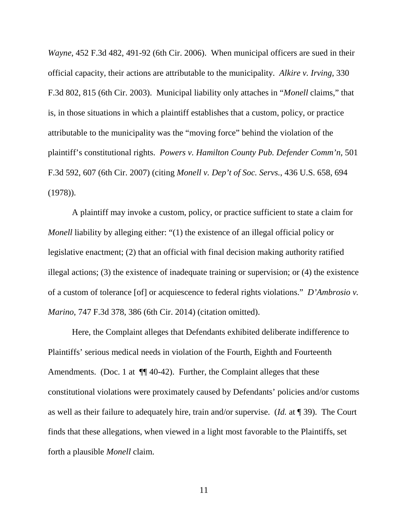*Wayne*, 452 F.3d 482, 491-92 (6th Cir. 2006). When municipal officers are sued in their official capacity, their actions are attributable to the municipality. *Alkire v. Irving*, 330 F.3d 802, 815 (6th Cir. 2003). Municipal liability only attaches in "*Monell* claims," that is, in those situations in which a plaintiff establishes that a custom, policy, or practice attributable to the municipality was the "moving force" behind the violation of the plaintiff's constitutional rights. *Powers v. Hamilton County Pub. Defender Comm'n*, 501 F.3d 592, 607 (6th Cir. 2007) (citing *Monell v. Dep't of Soc. Servs.*, 436 U.S. 658, 694 (1978)).

A plaintiff may invoke a custom, policy, or practice sufficient to state a claim for *Monell* liability by alleging either: "(1) the existence of an illegal official policy or legislative enactment; (2) that an official with final decision making authority ratified illegal actions; (3) the existence of inadequate training or supervision; or (4) the existence of a custom of tolerance [of] or acquiescence to federal rights violations." *D'Ambrosio v. Marino*, 747 F.3d 378, 386 (6th Cir. 2014) (citation omitted).

Here, the Complaint alleges that Defendants exhibited deliberate indifference to Plaintiffs' serious medical needs in violation of the Fourth, Eighth and Fourteenth Amendments. (Doc. 1 at  $\P$  40-42). Further, the Complaint alleges that these constitutional violations were proximately caused by Defendants' policies and/or customs as well as their failure to adequately hire, train and/or supervise. (*Id.* at ¶ 39). The Court finds that these allegations, when viewed in a light most favorable to the Plaintiffs, set forth a plausible *Monell* claim.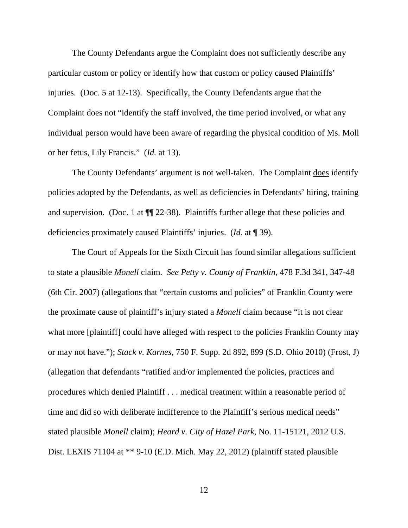The County Defendants argue the Complaint does not sufficiently describe any particular custom or policy or identify how that custom or policy caused Plaintiffs' injuries. (Doc. 5 at 12-13). Specifically, the County Defendants argue that the Complaint does not "identify the staff involved, the time period involved, or what any individual person would have been aware of regarding the physical condition of Ms. Moll or her fetus, Lily Francis." (*Id.* at 13).

The County Defendants' argument is not well-taken. The Complaint does identify policies adopted by the Defendants, as well as deficiencies in Defendants' hiring, training and supervision. (Doc. 1 at ¶¶ 22-38). Plaintiffs further allege that these policies and deficiencies proximately caused Plaintiffs' injuries. (*Id.* at ¶ 39).

The Court of Appeals for the Sixth Circuit has found similar allegations sufficient to state a plausible *Monell* claim. *See Petty v. County of Franklin*, 478 F.3d 341, 347-48 (6th Cir. 2007) (allegations that "certain customs and policies" of Franklin County were the proximate cause of plaintiff's injury stated a *Monell* claim because "it is not clear what more [plaintiff] could have alleged with respect to the policies Franklin County may or may not have."); *Stack v. Karnes*, 750 F. Supp. 2d 892, 899 (S.D. Ohio 2010) (Frost, J) (allegation that defendants "ratified and/or implemented the policies, practices and procedures which denied Plaintiff . . . medical treatment within a reasonable period of time and did so with deliberate indifference to the Plaintiff's serious medical needs" stated plausible *Monell* claim); *Heard v. City of Hazel Park*, No. 11-15121, 2012 U.S. Dist. LEXIS 71104 at \*\* 9-10 (E.D. Mich. May 22, 2012) (plaintiff stated plausible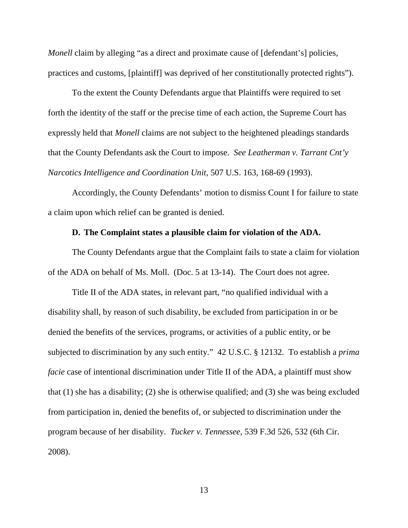*Monell* claim by alleging "as a direct and proximate cause of [defendant's] policies, practices and customs, [plaintiff] was deprived of her constitutionally protected rights").

To the extent the County Defendants argue that Plaintiffs were required to set forth the identity of the staff or the precise time of each action, the Supreme Court has expressly held that *Monell* claims are not subject to the heightened pleadings standards that the County Defendants ask the Court to impose. *See Leatherman v. Tarrant Cnt'y Narcotics Intelligence and Coordination Unit*, 507 U.S. 163, 168-69 (1993).

Accordingly, the County Defendants' motion to dismiss Count I for failure to state a claim upon which relief can be granted is denied.

## **D. The Complaint states a plausible claim for violation of the ADA.**

The County Defendants argue that the Complaint fails to state a claim for violation of the ADA on behalf of Ms. Moll. (Doc. 5 at 13-14). The Court does not agree.

Title II of the ADA states, in relevant part, "no qualified individual with a disability shall, by reason of such disability, be excluded from participation in or be denied the benefits of the services, programs, or activities of a public entity, or be subjected to discrimination by any such entity." 42 U.S.C. § 12132. To establish a *prima facie* case of intentional discrimination under Title II of the ADA, a plaintiff must show that (1) she has a disability; (2) she is otherwise qualified; and (3) she was being excluded from participation in, denied the benefits of, or subjected to discrimination under the program because of her disability. *Tucker v. Tennessee*, 539 F.3d 526, 532 (6th Cir. 2008).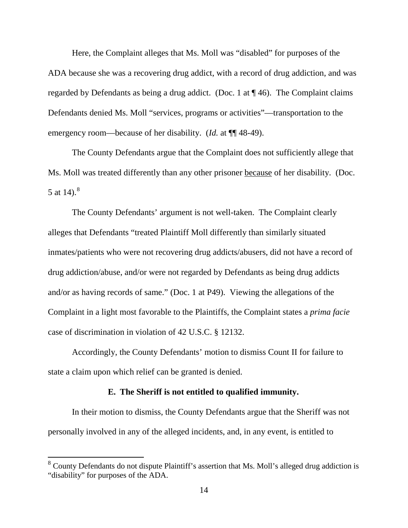Here, the Complaint alleges that Ms. Moll was "disabled" for purposes of the ADA because she was a recovering drug addict, with a record of drug addiction, and was regarded by Defendants as being a drug addict. (Doc. 1 at ¶ 46). The Complaint claims Defendants denied Ms. Moll "services, programs or activities"—transportation to the emergency room—because of her disability. (*Id.* at  $\P$  48-49).

The County Defendants argue that the Complaint does not sufficiently allege that Ms. Moll was treated differently than any other prisoner because of her disability. (Doc. 5 at 14). $^{8}$ 

The County Defendants' argument is not well-taken. The Complaint clearly alleges that Defendants "treated Plaintiff Moll differently than similarly situated inmates/patients who were not recovering drug addicts/abusers, did not have a record of drug addiction/abuse, and/or were not regarded by Defendants as being drug addicts and/or as having records of same." (Doc. 1 at P49). Viewing the allegations of the Complaint in a light most favorable to the Plaintiffs, the Complaint states a *prima facie* case of discrimination in violation of 42 U.S.C. § 12132.

Accordingly, the County Defendants' motion to dismiss Count II for failure to state a claim upon which relief can be granted is denied.

## **E. The Sheriff is not entitled to qualified immunity.**

In their motion to dismiss, the County Defendants argue that the Sheriff was not personally involved in any of the alleged incidents, and, in any event, is entitled to

 $\overline{a}$ 

 $8 \text{ County Defendants}$  do not dispute Plaintiff's assertion that Ms. Moll's alleged drug addiction is "disability" for purposes of the ADA.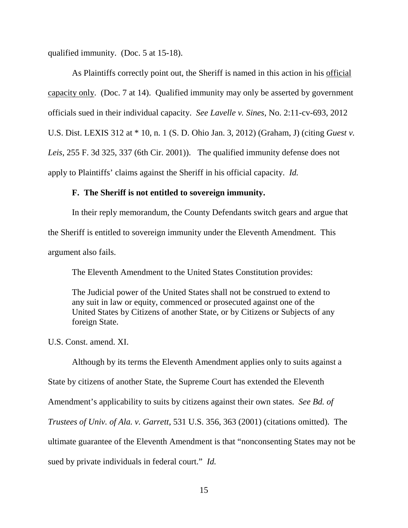qualified immunity. (Doc. 5 at 15-18).

As Plaintiffs correctly point out, the Sheriff is named in this action in his official capacity only. (Doc. 7 at 14). Qualified immunity may only be asserted by government officials sued in their individual capacity. *See Lavelle v. Sines*, No. 2:11-cv-693, 2012 U.S. Dist. LEXIS 312 at \* 10, n. 1 (S. D. Ohio Jan. 3, 2012) (Graham, J) (citing *Guest v. Leis*, 255 F. 3d 325, 337 (6th Cir. 2001)). The qualified immunity defense does not apply to Plaintiffs' claims against the Sheriff in his official capacity. *Id.*

## **F. The Sheriff is not entitled to sovereign immunity.**

In their reply memorandum, the County Defendants switch gears and argue that the Sheriff is entitled to sovereign immunity under the Eleventh Amendment. This argument also fails.

The Eleventh Amendment to the United States Constitution provides:

The Judicial power of the United States shall not be construed to extend to any suit in law or equity, commenced or prosecuted against one of the United States by Citizens of another State, or by Citizens or Subjects of any foreign State.

U.S. Const. amend. XI.

 Although by its terms the Eleventh Amendment applies only to suits against a State by citizens of another State, the Supreme Court has extended the Eleventh Amendment's applicability to suits by citizens against their own states. *See Bd. of Trustees of Univ. of Ala. v. Garrett*, 531 U.S. 356, 363 (2001) (citations omitted). The ultimate guarantee of the Eleventh Amendment is that "nonconsenting States may not be sued by private individuals in federal court." *Id.*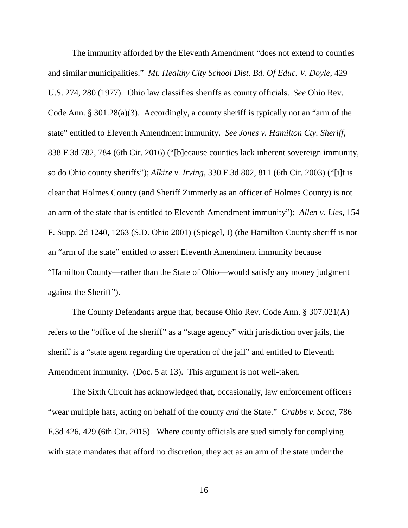The immunity afforded by the Eleventh Amendment "does not extend to counties and similar municipalities." *Mt. Healthy City School Dist. Bd. Of Educ. V. Doyle*, 429 U.S. 274, 280 (1977). Ohio law classifies sheriffs as county officials. *See* Ohio Rev. Code Ann. § 301.28(a)(3). Accordingly, a county sheriff is typically not an "arm of the state" entitled to Eleventh Amendment immunity. *See Jones v. Hamilton Cty. Sheriff*, 838 F.3d 782, 784 (6th Cir. 2016) ("[b]ecause counties lack inherent sovereign immunity, so do Ohio county sheriffs"); *Alkire v. Irving*, 330 F.3d 802, 811 (6th Cir. 2003) ("[i]t is clear that Holmes County (and Sheriff Zimmerly as an officer of Holmes County) is not an arm of the state that is entitled to Eleventh Amendment immunity"); *Allen v. Lies*, 154 F. Supp. 2d 1240, 1263 (S.D. Ohio 2001) (Spiegel, J) (the Hamilton County sheriff is not an "arm of the state" entitled to assert Eleventh Amendment immunity because "Hamilton County—rather than the State of Ohio—would satisfy any money judgment against the Sheriff").

 The County Defendants argue that, because Ohio Rev. Code Ann. § 307.021(A) refers to the "office of the sheriff" as a "stage agency" with jurisdiction over jails, the sheriff is a "state agent regarding the operation of the jail" and entitled to Eleventh Amendment immunity. (Doc. 5 at 13). This argument is not well-taken.

 The Sixth Circuit has acknowledged that, occasionally, law enforcement officers "wear multiple hats, acting on behalf of the county *and* the State." *Crabbs v. Scott*, 786 F.3d 426, 429 (6th Cir. 2015). Where county officials are sued simply for complying with state mandates that afford no discretion, they act as an arm of the state under the